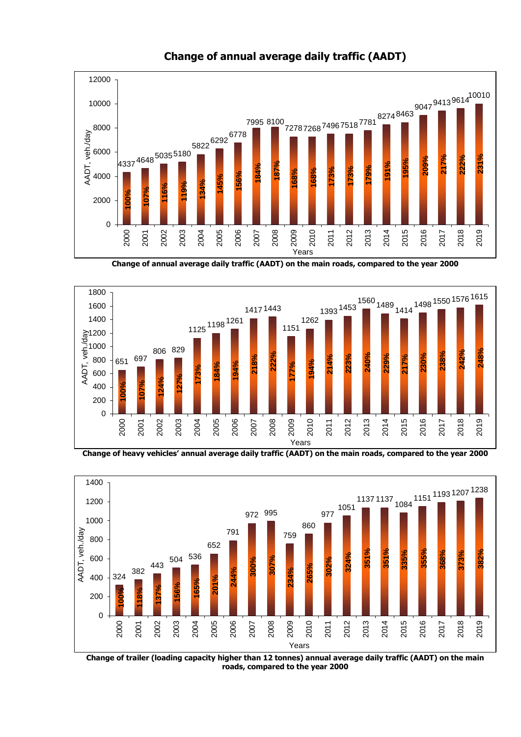

**Change of annual average daily traffic (AADT)**

**Change of annual average daily traffic (AADT) on the main roads, compared to the year 2000**







**Change of trailer (loading capacity higher than 12 tonnes) annual average daily traffic (AADT) on the main roads, compared to the year 2000**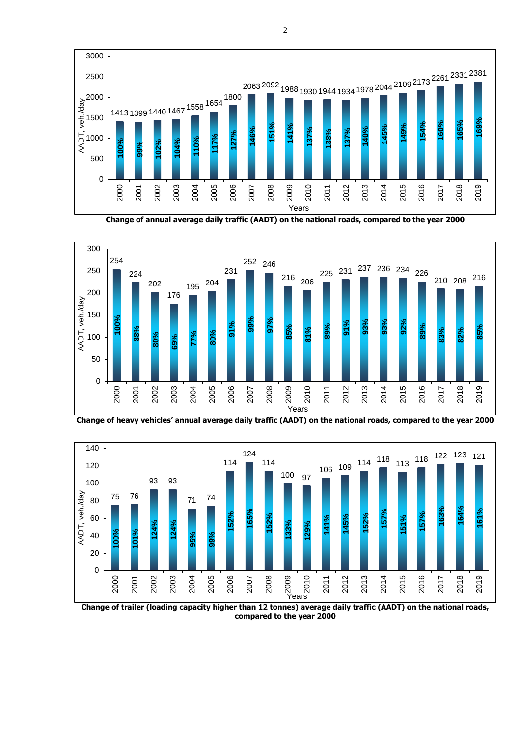

**Change of annual average daily traffic (AADT) on the national roads, compared to the year 2000**



**Change of heavy vehicles' annual average daily traffic (AADT) on the national roads, compared to the year 2000**



**Change of trailer (loading capacity higher than 12 tonnes) average daily traffic (AADT) on the national roads, compared to the year 2000**

2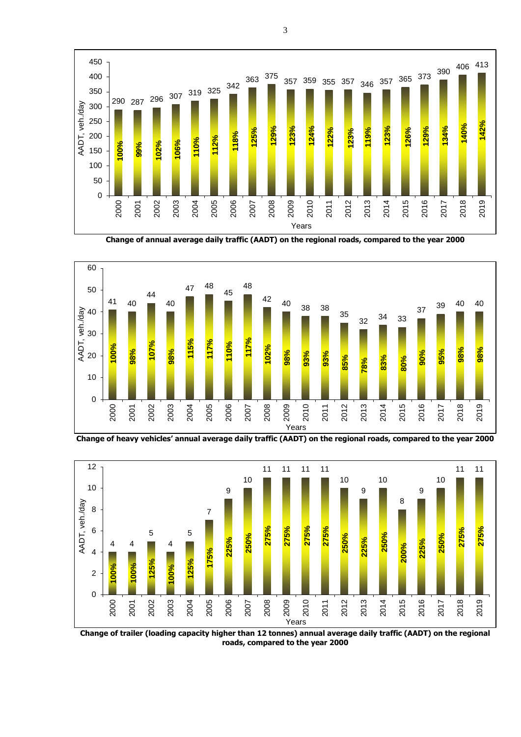

**Change of annual average daily traffic (AADT) on the regional roads, compared to the year 2000**



**Change of heavy vehicles' annual average daily traffic (AADT) on the regional roads, compared to the year 2000**



**Change of trailer (loading capacity higher than 12 tonnes) annual average daily traffic (AADT) on the regional roads, compared to the year 2000**